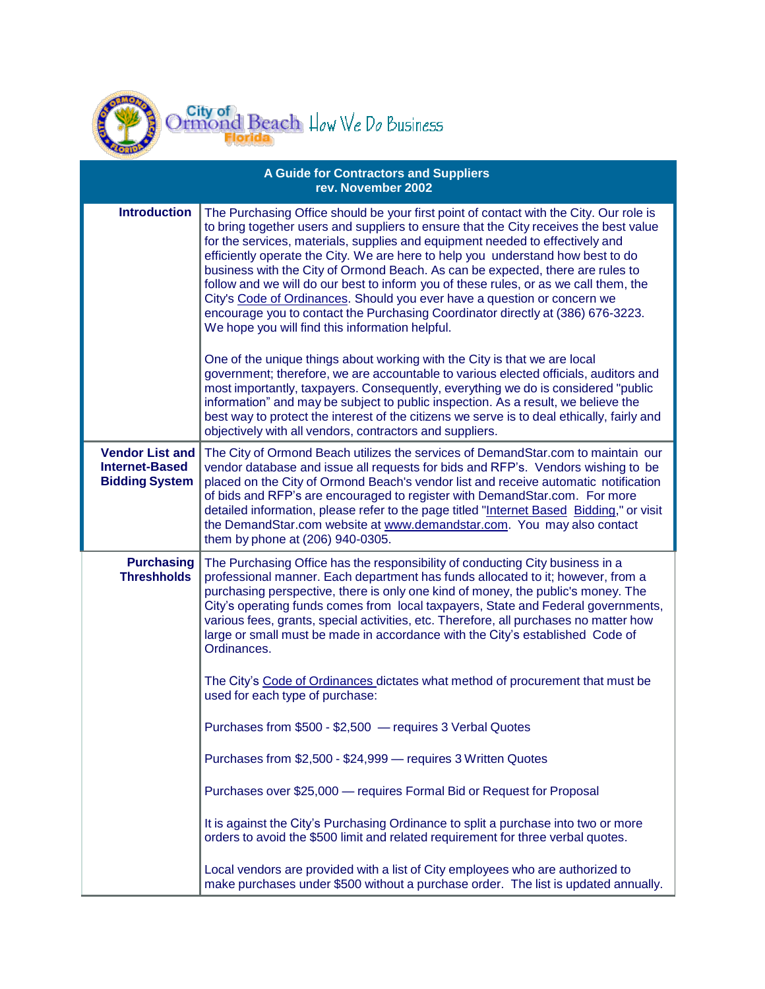

| <b>A Guide for Contractors and Suppliers</b><br>rev. November 2002       |                                                                                                                                                                                                                                                                                                                                                                                                                                                                                                                                                                                                                                                                                                                                                 |  |
|--------------------------------------------------------------------------|-------------------------------------------------------------------------------------------------------------------------------------------------------------------------------------------------------------------------------------------------------------------------------------------------------------------------------------------------------------------------------------------------------------------------------------------------------------------------------------------------------------------------------------------------------------------------------------------------------------------------------------------------------------------------------------------------------------------------------------------------|--|
| <b>Introduction</b>                                                      | The Purchasing Office should be your first point of contact with the City. Our role is<br>to bring together users and suppliers to ensure that the City receives the best value<br>for the services, materials, supplies and equipment needed to effectively and<br>efficiently operate the City. We are here to help you understand how best to do<br>business with the City of Ormond Beach. As can be expected, there are rules to<br>follow and we will do our best to inform you of these rules, or as we call them, the<br>City's Code of Ordinances. Should you ever have a question or concern we<br>encourage you to contact the Purchasing Coordinator directly at (386) 676-3223.<br>We hope you will find this information helpful. |  |
|                                                                          | One of the unique things about working with the City is that we are local<br>government; therefore, we are accountable to various elected officials, auditors and<br>most importantly, taxpayers. Consequently, everything we do is considered "public<br>information" and may be subject to public inspection. As a result, we believe the<br>best way to protect the interest of the citizens we serve is to deal ethically, fairly and<br>objectively with all vendors, contractors and suppliers.                                                                                                                                                                                                                                           |  |
| <b>Vendor List and</b><br><b>Internet-Based</b><br><b>Bidding System</b> | The City of Ormond Beach utilizes the services of DemandStar.com to maintain our<br>vendor database and issue all requests for bids and RFP's. Vendors wishing to be<br>placed on the City of Ormond Beach's vendor list and receive automatic notification<br>of bids and RFP's are encouraged to register with DemandStar.com. For more<br>detailed information, please refer to the page titled "Internet Based Bidding," or visit<br>the DemandStar.com website at www.demandstar.com. You may also contact<br>them by phone at (206) 940-0305.                                                                                                                                                                                             |  |
| <b>Purchasing</b><br><b>Threshholds</b>                                  | The Purchasing Office has the responsibility of conducting City business in a<br>professional manner. Each department has funds allocated to it; however, from a<br>purchasing perspective, there is only one kind of money, the public's money. The<br>City's operating funds comes from local taxpayers, State and Federal governments,<br>various fees, grants, special activities, etc. Therefore, all purchases no matter how<br>large or small must be made in accordance with the City's established Code of<br>Ordinances.<br>The City's Code of Ordinances dictates what method of procurement that must be                                                                                                                            |  |
|                                                                          | used for each type of purchase:<br>Purchases from \$500 - \$2,500 - requires 3 Verbal Quotes                                                                                                                                                                                                                                                                                                                                                                                                                                                                                                                                                                                                                                                    |  |
|                                                                          | Purchases from \$2,500 - \$24,999 - requires 3 Written Quotes                                                                                                                                                                                                                                                                                                                                                                                                                                                                                                                                                                                                                                                                                   |  |
|                                                                          | Purchases over \$25,000 - requires Formal Bid or Request for Proposal                                                                                                                                                                                                                                                                                                                                                                                                                                                                                                                                                                                                                                                                           |  |
|                                                                          | It is against the City's Purchasing Ordinance to split a purchase into two or more<br>orders to avoid the \$500 limit and related requirement for three verbal quotes.                                                                                                                                                                                                                                                                                                                                                                                                                                                                                                                                                                          |  |
|                                                                          | Local vendors are provided with a list of City employees who are authorized to<br>make purchases under \$500 without a purchase order. The list is updated annually.                                                                                                                                                                                                                                                                                                                                                                                                                                                                                                                                                                            |  |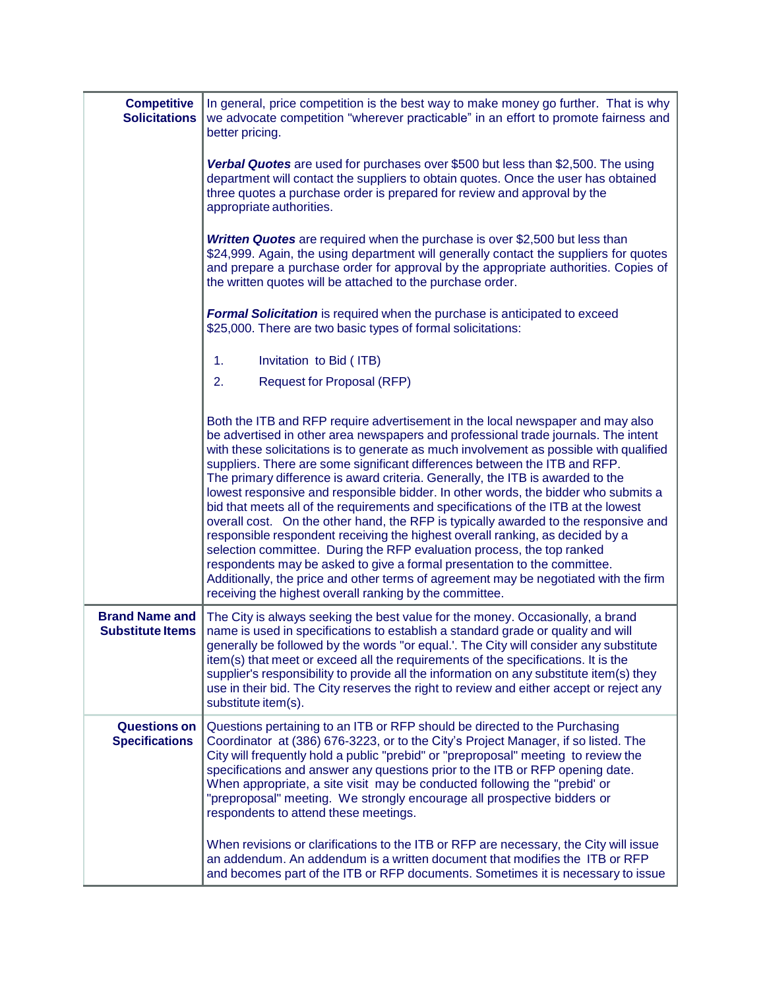| <b>Competitive</b><br><b>Solicitations</b>       | In general, price competition is the best way to make money go further. That is why<br>we advocate competition "wherever practicable" in an effort to promote fairness and<br>better pricing.                                                                                                                                                                                                                                                                                                                                                                                                                                                                                                                                                                                                                                                                                                                                                                                                                                                                                               |
|--------------------------------------------------|---------------------------------------------------------------------------------------------------------------------------------------------------------------------------------------------------------------------------------------------------------------------------------------------------------------------------------------------------------------------------------------------------------------------------------------------------------------------------------------------------------------------------------------------------------------------------------------------------------------------------------------------------------------------------------------------------------------------------------------------------------------------------------------------------------------------------------------------------------------------------------------------------------------------------------------------------------------------------------------------------------------------------------------------------------------------------------------------|
|                                                  | Verbal Quotes are used for purchases over \$500 but less than \$2,500. The using<br>department will contact the suppliers to obtain quotes. Once the user has obtained<br>three quotes a purchase order is prepared for review and approval by the<br>appropriate authorities.                                                                                                                                                                                                                                                                                                                                                                                                                                                                                                                                                                                                                                                                                                                                                                                                              |
|                                                  | Written Quotes are required when the purchase is over \$2,500 but less than<br>\$24,999. Again, the using department will generally contact the suppliers for quotes<br>and prepare a purchase order for approval by the appropriate authorities. Copies of<br>the written quotes will be attached to the purchase order.                                                                                                                                                                                                                                                                                                                                                                                                                                                                                                                                                                                                                                                                                                                                                                   |
|                                                  | <b>Formal Solicitation</b> is required when the purchase is anticipated to exceed<br>\$25,000. There are two basic types of formal solicitations:                                                                                                                                                                                                                                                                                                                                                                                                                                                                                                                                                                                                                                                                                                                                                                                                                                                                                                                                           |
|                                                  | 1.<br>Invitation to Bid (ITB)                                                                                                                                                                                                                                                                                                                                                                                                                                                                                                                                                                                                                                                                                                                                                                                                                                                                                                                                                                                                                                                               |
|                                                  | 2.<br><b>Request for Proposal (RFP)</b>                                                                                                                                                                                                                                                                                                                                                                                                                                                                                                                                                                                                                                                                                                                                                                                                                                                                                                                                                                                                                                                     |
|                                                  | Both the ITB and RFP require advertisement in the local newspaper and may also<br>be advertised in other area newspapers and professional trade journals. The intent<br>with these solicitations is to generate as much involvement as possible with qualified<br>suppliers. There are some significant differences between the ITB and RFP.<br>The primary difference is award criteria. Generally, the ITB is awarded to the<br>lowest responsive and responsible bidder. In other words, the bidder who submits a<br>bid that meets all of the requirements and specifications of the ITB at the lowest<br>overall cost. On the other hand, the RFP is typically awarded to the responsive and<br>responsible respondent receiving the highest overall ranking, as decided by a<br>selection committee. During the RFP evaluation process, the top ranked<br>respondents may be asked to give a formal presentation to the committee.<br>Additionally, the price and other terms of agreement may be negotiated with the firm<br>receiving the highest overall ranking by the committee. |
| <b>Brand Name and</b><br><b>Substitute Items</b> | The City is always seeking the best value for the money. Occasionally, a brand<br>name is used in specifications to establish a standard grade or quality and will<br>generally be followed by the words "or equal.'. The City will consider any substitute<br>item(s) that meet or exceed all the requirements of the specifications. It is the<br>supplier's responsibility to provide all the information on any substitute item(s) they<br>use in their bid. The City reserves the right to review and either accept or reject any<br>substitute item(s).                                                                                                                                                                                                                                                                                                                                                                                                                                                                                                                               |
| <b>Questions on</b><br><b>Specifications</b>     | Questions pertaining to an ITB or RFP should be directed to the Purchasing<br>Coordinator at (386) 676-3223, or to the City's Project Manager, if so listed. The<br>City will frequently hold a public "prebid" or "preproposal" meeting to review the<br>specifications and answer any questions prior to the ITB or RFP opening date.<br>When appropriate, a site visit may be conducted following the "prebid' or<br>"preproposal" meeting. We strongly encourage all prospective bidders or<br>respondents to attend these meetings.                                                                                                                                                                                                                                                                                                                                                                                                                                                                                                                                                    |
|                                                  | When revisions or clarifications to the ITB or RFP are necessary, the City will issue<br>an addendum. An addendum is a written document that modifies the ITB or RFP<br>and becomes part of the ITB or RFP documents. Sometimes it is necessary to issue                                                                                                                                                                                                                                                                                                                                                                                                                                                                                                                                                                                                                                                                                                                                                                                                                                    |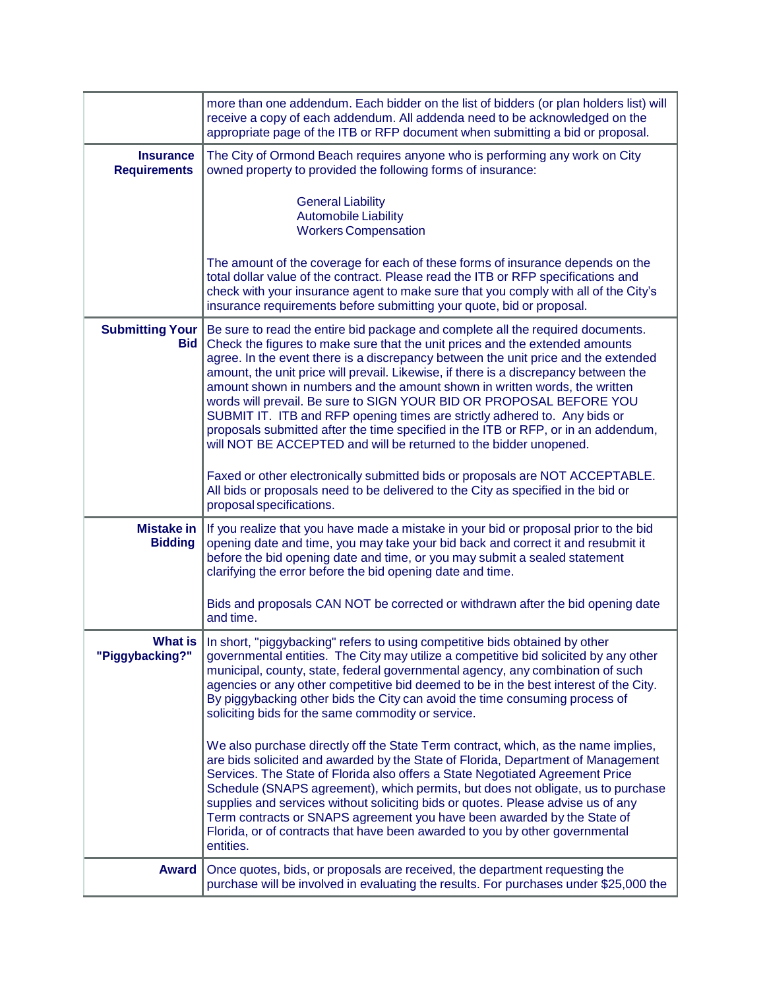|                                         | more than one addendum. Each bidder on the list of bidders (or plan holders list) will<br>receive a copy of each addendum. All addenda need to be acknowledged on the<br>appropriate page of the ITB or RFP document when submitting a bid or proposal.                                                                                                                                                                                                                                                                                                                                                                                                                                                                                    |
|-----------------------------------------|--------------------------------------------------------------------------------------------------------------------------------------------------------------------------------------------------------------------------------------------------------------------------------------------------------------------------------------------------------------------------------------------------------------------------------------------------------------------------------------------------------------------------------------------------------------------------------------------------------------------------------------------------------------------------------------------------------------------------------------------|
| <b>Insurance</b><br><b>Requirements</b> | The City of Ormond Beach requires anyone who is performing any work on City<br>owned property to provided the following forms of insurance:                                                                                                                                                                                                                                                                                                                                                                                                                                                                                                                                                                                                |
|                                         | <b>General Liability</b><br><b>Automobile Liability</b><br><b>Workers Compensation</b>                                                                                                                                                                                                                                                                                                                                                                                                                                                                                                                                                                                                                                                     |
|                                         | The amount of the coverage for each of these forms of insurance depends on the<br>total dollar value of the contract. Please read the ITB or RFP specifications and<br>check with your insurance agent to make sure that you comply with all of the City's<br>insurance requirements before submitting your quote, bid or proposal.                                                                                                                                                                                                                                                                                                                                                                                                        |
| <b>Submitting Your</b><br><b>Bid</b>    | Be sure to read the entire bid package and complete all the required documents.<br>Check the figures to make sure that the unit prices and the extended amounts<br>agree. In the event there is a discrepancy between the unit price and the extended<br>amount, the unit price will prevail. Likewise, if there is a discrepancy between the<br>amount shown in numbers and the amount shown in written words, the written<br>words will prevail. Be sure to SIGN YOUR BID OR PROPOSAL BEFORE YOU<br>SUBMIT IT. ITB and RFP opening times are strictly adhered to. Any bids or<br>proposals submitted after the time specified in the ITB or RFP, or in an addendum,<br>will NOT BE ACCEPTED and will be returned to the bidder unopened. |
|                                         | Faxed or other electronically submitted bids or proposals are NOT ACCEPTABLE.<br>All bids or proposals need to be delivered to the City as specified in the bid or<br>proposal specifications.                                                                                                                                                                                                                                                                                                                                                                                                                                                                                                                                             |
| Mistake in<br><b>Bidding</b>            | If you realize that you have made a mistake in your bid or proposal prior to the bid<br>opening date and time, you may take your bid back and correct it and resubmit it<br>before the bid opening date and time, or you may submit a sealed statement<br>clarifying the error before the bid opening date and time.                                                                                                                                                                                                                                                                                                                                                                                                                       |
|                                         | Bids and proposals CAN NOT be corrected or withdrawn after the bid opening date<br>and time.                                                                                                                                                                                                                                                                                                                                                                                                                                                                                                                                                                                                                                               |
| "Piggybacking?"                         | What is   In short, "piggybacking" refers to using competitive bids obtained by other<br>governmental entities. The City may utilize a competitive bid solicited by any other<br>municipal, county, state, federal governmental agency, any combination of such<br>agencies or any other competitive bid deemed to be in the best interest of the City.<br>By piggybacking other bids the City can avoid the time consuming process of<br>soliciting bids for the same commodity or service.                                                                                                                                                                                                                                               |
|                                         | We also purchase directly off the State Term contract, which, as the name implies,<br>are bids solicited and awarded by the State of Florida, Department of Management<br>Services. The State of Florida also offers a State Negotiated Agreement Price<br>Schedule (SNAPS agreement), which permits, but does not obligate, us to purchase<br>supplies and services without soliciting bids or quotes. Please advise us of any<br>Term contracts or SNAPS agreement you have been awarded by the State of<br>Florida, or of contracts that have been awarded to you by other governmental<br>entities.                                                                                                                                    |
| <b>Award</b>                            | Once quotes, bids, or proposals are received, the department requesting the<br>purchase will be involved in evaluating the results. For purchases under \$25,000 the                                                                                                                                                                                                                                                                                                                                                                                                                                                                                                                                                                       |